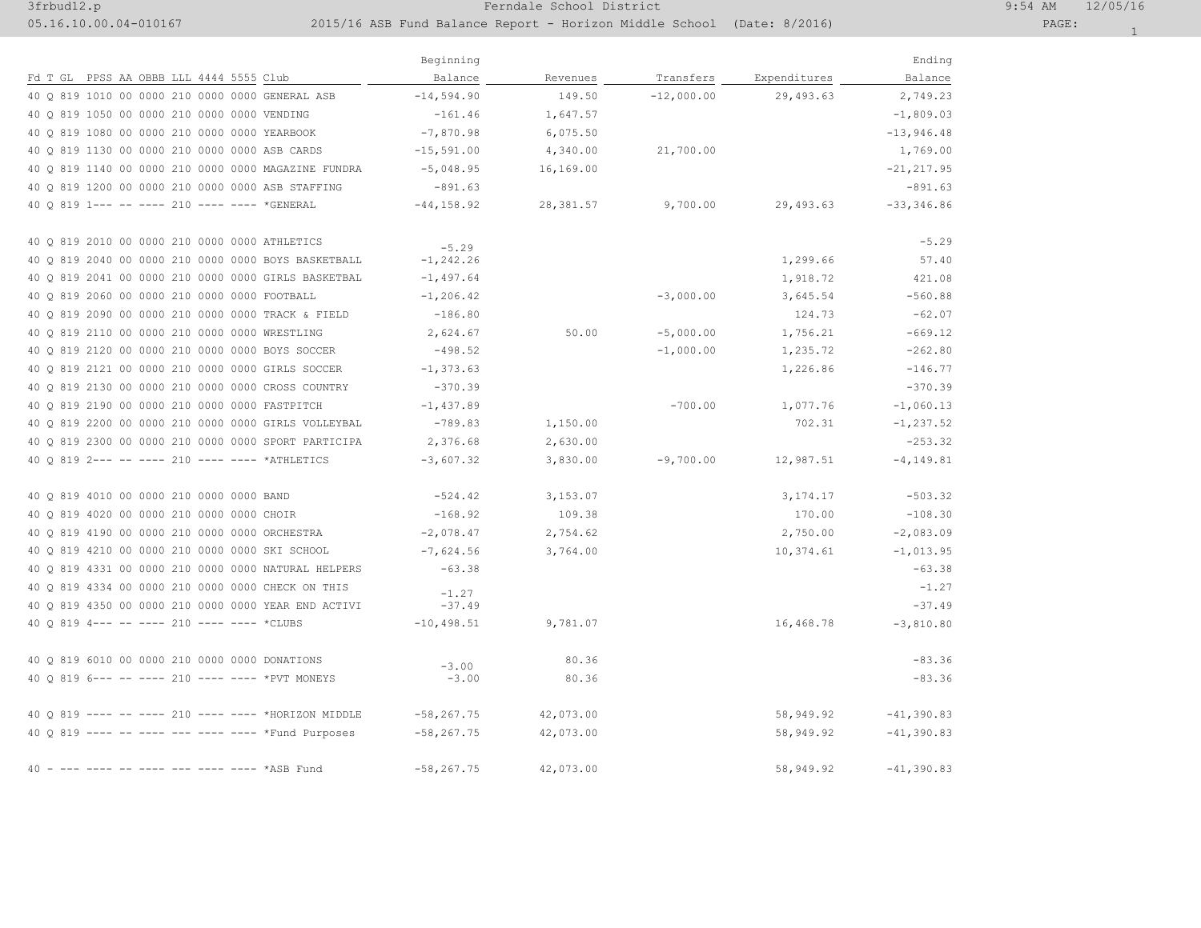## 3frbud12.p Ferndale School District 9:54 AM 12/05/16

## 05.16.10.00.04-010167 2015/16 ASB Fund Balance Report - Horizon Middle School (Date: 8/2016) PAGE:

|                                                     | Beginning          |            |              |              | Ending        |
|-----------------------------------------------------|--------------------|------------|--------------|--------------|---------------|
| Fd T GL PPSS AA OBBB LLL 4444 5555 Club             | Balance            | Revenues   | Transfers    | Expenditures | Balance       |
| 40 0 819 1010 00 0000 210 0000 0000 GENERAL ASB     | $-14,594.90$       | 149.50     | $-12,000.00$ | 29,493.63    | 2,749.23      |
| 40 0 819 1050 00 0000 210 0000 0000 VENDING         | $-161.46$          | 1,647.57   |              |              | $-1,809.03$   |
| 40 0 819 1080 00 0000 210 0000 0000 YEARBOOK        | $-7,870.98$        | 6,075.50   |              |              | $-13,946,48$  |
| 40 0 819 1130 00 0000 210 0000 0000 ASB CARDS       | $-15, 591.00$      | 4,340.00   | 21,700.00    |              | 1,769.00      |
| 40 Q 819 1140 00 0000 210 0000 0000 MAGAZINE FUNDRA | $-5,048.95$        | 16,169.00  |              |              | $-21, 217.95$ |
| 40 0 819 1200 00 0000 210 0000 0000 ASB STAFFING    | $-891.63$          |            |              |              | $-891.63$     |
| 40 0 819 1 --- -- ---- 210 ---- ---- *GENERAL       | $-44, 158.92$      | 28, 381.57 | 9,700.00     | 29,493.63    | $-33, 346.86$ |
| 40 0 819 2010 00 0000 210 0000 0000 ATHLETICS       |                    |            |              |              |               |
| 40 0 819 2040 00 0000 210 0000 0000 BOYS BASKETBALL | $-5.29$            |            |              |              | $-5.29$       |
| 40 Q 819 2041 00 0000 210 0000 0000 GIRLS BASKETBAL | $-1, 242, 26$      |            |              | 1,299.66     | 57.40         |
|                                                     | $-1,497.64$        |            |              | 1,918.72     | 421.08        |
| 40 Q 819 2060 00 0000 210 0000 0000 FOOTBALL        | $-1, 206.42$       |            | $-3,000.00$  | 3,645.54     | $-560.88$     |
| 40 Q 819 2090 00 0000 210 0000 0000 TRACK & FIELD   | $-186.80$          |            |              | 124.73       | $-62.07$      |
| 40 0 819 2110 00 0000 210 0000 0000 WRESTLING       | 2,624.67           | 50.00      | $-5,000.00$  | 1,756.21     | $-669.12$     |
| 40 0 819 2120 00 0000 210 0000 0000 BOYS SOCCER     | $-498.52$          |            | $-1,000.00$  | 1,235.72     | $-262.80$     |
| 40 0 819 2121 00 0000 210 0000 0000 GIRLS SOCCER    | $-1, 373.63$       |            |              | 1,226.86     | $-146.77$     |
| 40 0 819 2130 00 0000 210 0000 0000 CROSS COUNTRY   | $-370.39$          |            |              |              | $-370.39$     |
| 40 0 819 2190 00 0000 210 0000 0000 FASTPITCH       | $-1,437.89$        |            | $-700.00$    | 1,077.76     | $-1,060.13$   |
| 40 Q 819 2200 00 0000 210 0000 0000 GIRLS VOLLEYBAL | $-789.83$          | 1,150.00   |              | 702.31       | $-1, 237.52$  |
| 40 0 819 2300 00 0000 210 0000 0000 SPORT PARTICIPA | 2,376.68           | 2,630.00   |              |              | $-253.32$     |
| 40 0 819 2--- -- ---- 210 ---- ---- *ATHLETICS      | $-3,607.32$        | 3,830.00   | $-9,700.00$  | 12,987.51    | $-4, 149.81$  |
| 40 0 819 4010 00 0000 210 0000 0000 BAND            | $-524.42$          | 3,153.07   |              | 3, 174. 17   | $-503.32$     |
| 40 0 819 4020 00 0000 210 0000 0000 CHOIR           | $-168.92$          | 109.38     |              | 170.00       | $-108.30$     |
| 40 0 819 4190 00 0000 210 0000 0000 ORCHESTRA       | $-2,078.47$        | 2,754.62   |              | 2,750.00     | $-2,083.09$   |
| 40 Q 819 4210 00 0000 210 0000 0000 SKI SCHOOL      | $-7,624.56$        | 3,764.00   |              | 10,374.61    | $-1,013.95$   |
| 40 Q 819 4331 00 0000 210 0000 0000 NATURAL HELPERS | $-63.38$           |            |              |              | $-63.38$      |
| 40 Q 819 4334 00 0000 210 0000 0000 CHECK ON THIS   | $-1.27$            |            |              |              | $-1.27$       |
| 40 0 819 4350 00 0000 210 0000 0000 YEAR END ACTIVI | $-37.49$           |            |              |              | $-37.49$      |
| 40 0 819 4--- -- ---- 210 ---- ---- *CLUBS          | $-10, 498.51$      | 9,781.07   |              | 16,468.78    | $-3,810.80$   |
| 40 0 819 6010 00 0000 210 0000 0000 DONATIONS       |                    | 80.36      |              |              | $-83.36$      |
| 40 0 819 6--- -- ---- 210 ---- ---- *PVT MONEYS     | $-3.00$<br>$-3.00$ | 80.36      |              |              | $-83.36$      |
|                                                     |                    |            |              |              |               |
| 40 0 819 ---- -- ---- 210 ---- ---- *HORIZON MIDDLE | $-58, 267, 75$     | 42,073.00  |              | 58,949.92    | $-41, 390.83$ |
| 40 Q 819 ---- -- ---- --- ---- ---- *Fund Purposes  | $-58, 267.75$      | 42,073.00  |              | 58,949.92    | $-41, 390.83$ |
| 40 - --- ---- -- ---- --- ---- ---- *ASB Fund       | $-58, 267.75$      | 42,073.00  |              | 58,949.92    | $-41, 390.83$ |